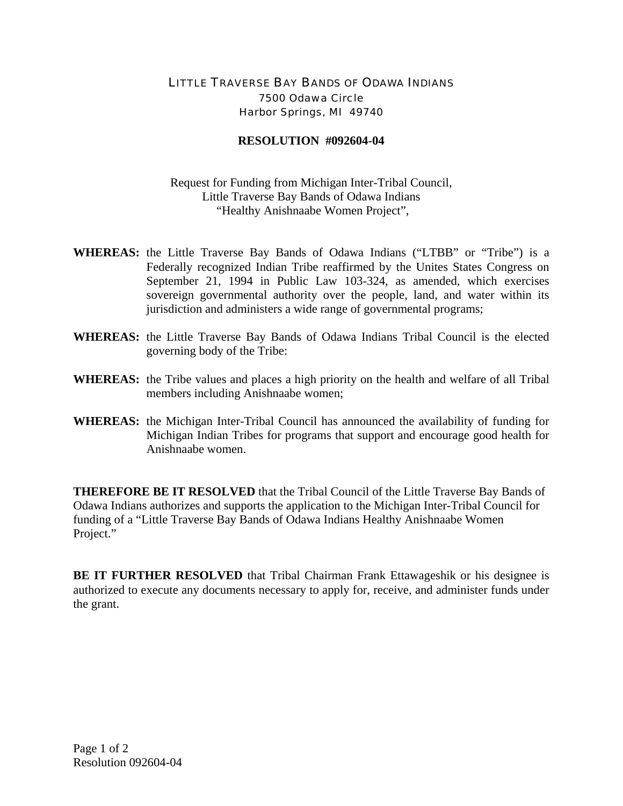## LITTLE TRAVERSE BAY BANDS OF ODAWA INDIANS 7500 Odawa Circle Harbor Springs, MI 49740

## **RESOLUTION #092604-04**

Request for Funding from Michigan Inter-Tribal Council, Little Traverse Bay Bands of Odawa Indians "Healthy Anishnaabe Women Project",

- **WHEREAS:** the Little Traverse Bay Bands of Odawa Indians ("LTBB" or "Tribe") is a Federally recognized Indian Tribe reaffirmed by the Unites States Congress on September 21, 1994 in Public Law 103-324, as amended, which exercises sovereign governmental authority over the people, land, and water within its jurisdiction and administers a wide range of governmental programs;
- **WHEREAS:** the Little Traverse Bay Bands of Odawa Indians Tribal Council is the elected governing body of the Tribe:
- **WHEREAS:** the Tribe values and places a high priority on the health and welfare of all Tribal members including Anishnaabe women;
- **WHEREAS:** the Michigan Inter-Tribal Council has announced the availability of funding for Michigan Indian Tribes for programs that support and encourage good health for Anishnaabe women.

**THEREFORE BE IT RESOLVED** that the Tribal Council of the Little Traverse Bay Bands of Odawa Indians authorizes and supports the application to the Michigan Inter-Tribal Council for funding of a "Little Traverse Bay Bands of Odawa Indians Healthy Anishnaabe Women Project."

**BE IT FURTHER RESOLVED** that Tribal Chairman Frank Ettawageshik or his designee is authorized to execute any documents necessary to apply for, receive, and administer funds under the grant.